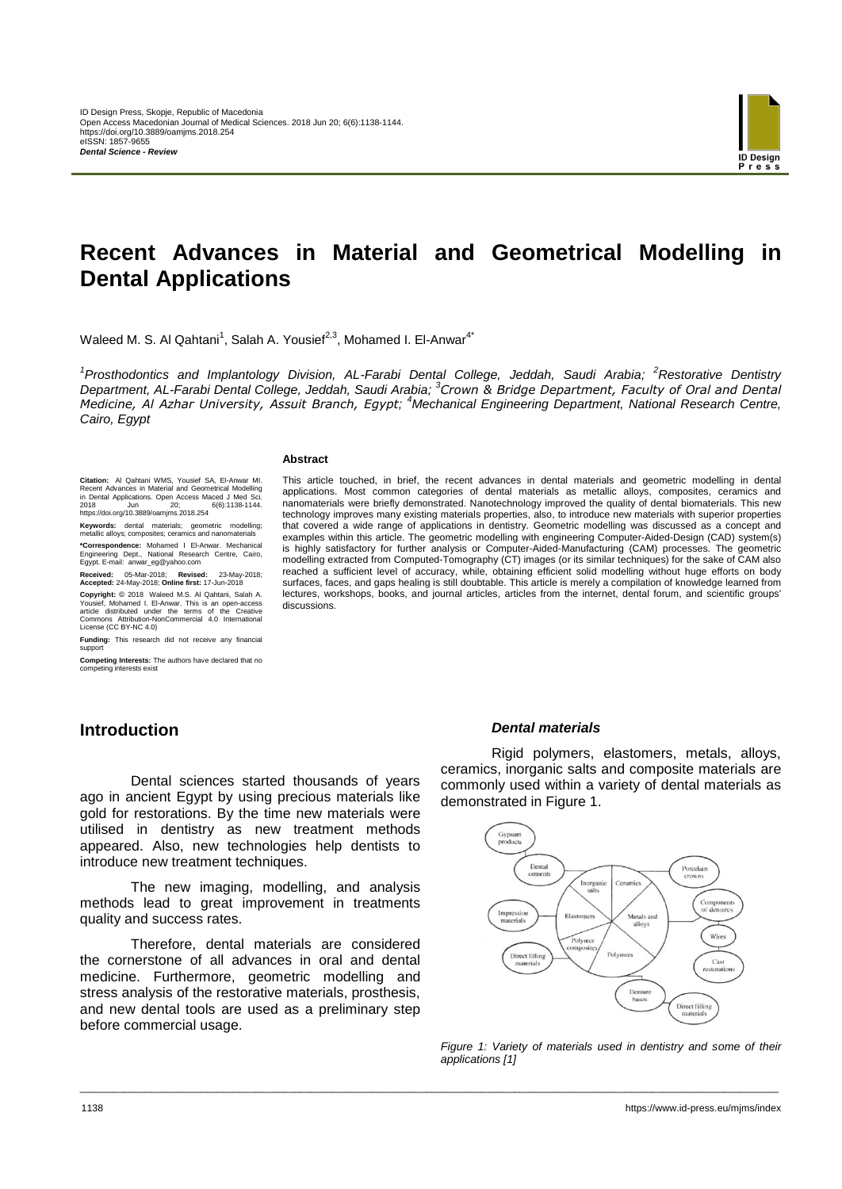

# **Recent Advances in Material and Geometrical Modelling in Dental Applications**

Waleed M. S. Al Qahtani<sup>1</sup>, Salah A. Yousief<sup>2,3</sup>, Mohamed I. El-Anwar<sup>4\*</sup>

<sup>1</sup> Prosthodontics and Implantology Division, AL-Farabi Dental College, Jeddah, Saudi Arabia; <sup>2</sup>Restorative Dentistry *Department, AL-Farabi Dental College, Jeddah, Saudi Arabia; <sup>3</sup> Crown & Bridge Department, Faculty of Oral and Dental Medicine, Al Azhar University, Assuit Branch, Egypt; <sup>4</sup>Mechanical Engineering Department, National Research Centre, Cairo, Egypt*

\_\_\_\_\_\_\_\_\_\_\_\_\_\_\_\_\_\_\_\_\_\_\_\_\_\_\_\_\_\_\_\_\_\_\_\_\_\_\_\_\_\_\_\_\_\_\_\_\_\_\_\_\_\_\_\_\_\_\_\_\_\_\_\_\_\_\_\_\_\_\_\_\_\_\_\_\_\_\_\_\_\_\_\_\_\_\_\_\_\_\_\_\_\_\_\_\_\_\_\_\_\_\_\_\_\_\_\_\_\_\_\_\_\_\_\_\_\_\_\_\_\_\_\_\_\_\_

#### **Abstract**

discussions.

**Citation:** Al Qahtani WMS, Yousief SA, El-Anwar MI. Recent Advances in Material and Geometrical Modelling in Dental Applications. Open Access Maced J Med Sci. 2018 Jun 20; 6(6):1138-1144. https://doi.org/10.3889/oamjms.2018.254

**Keywords:** dental materials; geometric modelling; metallic alloys; composites; ceramics and nanomaterials

**\*Correspondence:** Mohamed I El-Anwar. Mechanical Engineering Dept., National Research Centre, Cairo, Egypt. E-mail: anwar\_eg@yahoo.com

**Received:** 05-Mar-2018; **Revised:** 23-May-2018; **Accepted:** 24-May-2018; **Online first:** 17-Jun-2018

Copyright: © 2018 Waleed M.S. Al Qahtani, Salah A.<br>Yousief, Mohamed I. El-Anwar. This is an open-access<br>article distributed under the terms of the Creative<br>Commons Attribution-NonCommercial 4.0 International<br>License (CC BY

**Funding:** This research did not receive any financial support

**Competing Interests:** The authors have declared that no competing interests exist

# **Introduction**

Dental sciences started thousands of years ago in ancient Egypt by using precious materials like gold for restorations. By the time new materials were utilised in dentistry as new treatment methods appeared. Also, new technologies help dentists to introduce new treatment techniques.

The new imaging, modelling, and analysis methods lead to great improvement in treatments quality and success rates.

Therefore, dental materials are considered the cornerstone of all advances in oral and dental medicine. Furthermore, geometric modelling and stress analysis of the restorative materials, prosthesis, and new dental tools are used as a preliminary step before commercial usage.

### *Dental materials*

This article touched, in brief, the recent advances in dental materials and geometric modelling in dental applications. Most common categories of dental materials as metallic alloys, composites, ceramics and nanomaterials were briefly demonstrated. Nanotechnology improved the quality of dental biomaterials. This new technology improves many existing materials properties, also, to introduce new materials with superior properties that covered a wide range of applications in dentistry. Geometric modelling was discussed as a concept and examples within this article. The geometric modelling with engineering Computer-Aided-Design (CAD) system(s) is highly satisfactory for further analysis or Computer-Aided-Manufacturing (CAM) processes. The geometric modelling extracted from Computed-Tomography (CT) images (or its similar techniques) for the sake of CAM also reached a sufficient level of accuracy, while, obtaining efficient solid modelling without huge efforts on body surfaces, faces, and gaps healing is still doubtable. This article is merely a compilation of knowledge learned from lectures, workshops, books, and journal articles, articles from the internet, dental forum, and scientific groups'

> Rigid polymers, elastomers, metals, alloys, ceramics, inorganic salts and composite materials are commonly used within a variety of dental materials as demonstrated in Figure 1.



*Figure 1: Variety of materials used in dentistry and some of their applications [1]*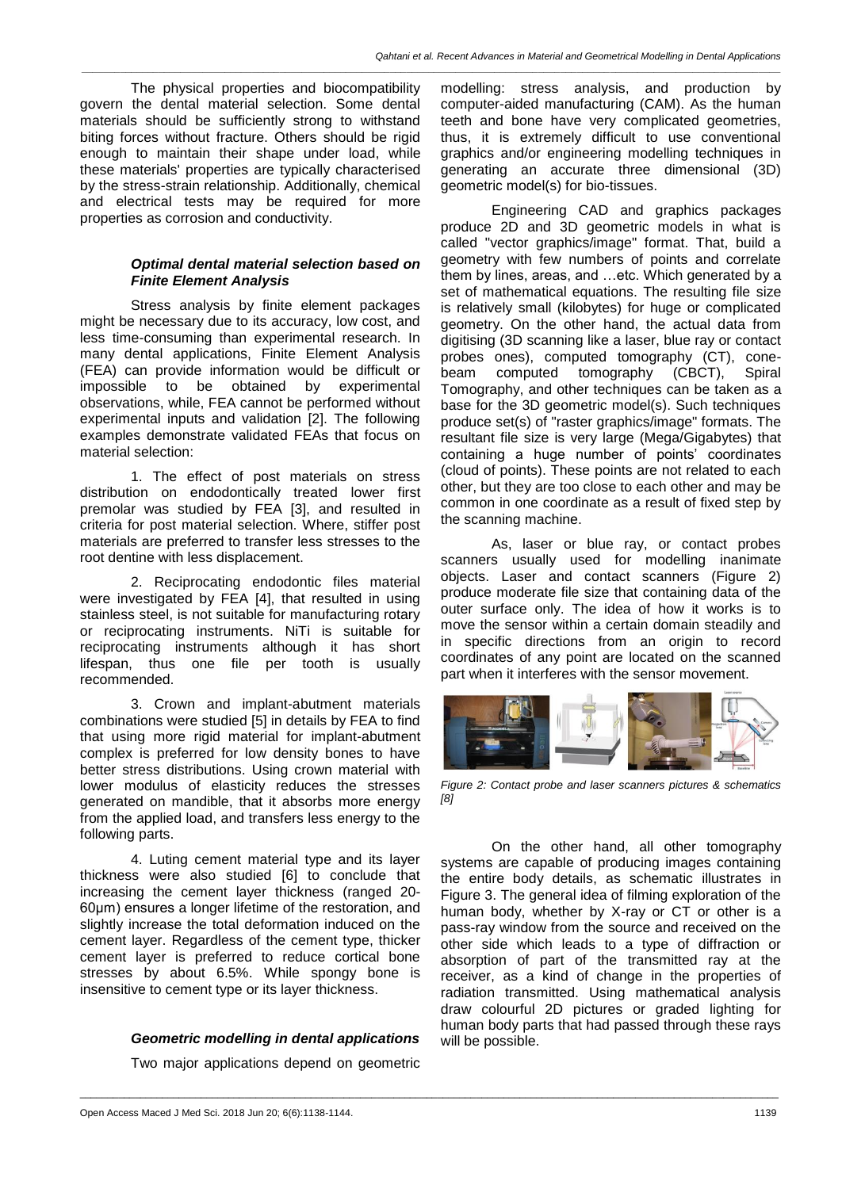*\_\_\_\_\_\_\_\_\_\_\_\_\_\_\_\_\_\_\_\_\_\_\_\_\_\_\_\_\_\_\_\_\_\_\_\_\_\_\_\_\_\_\_\_\_\_\_\_\_\_\_\_\_\_\_\_\_\_\_\_\_\_\_\_\_\_\_\_\_\_\_\_\_\_\_\_\_\_\_\_\_\_\_\_\_\_\_\_\_\_\_\_\_\_\_\_\_\_\_\_\_\_\_\_\_\_\_\_\_\_\_\_\_\_\_\_\_\_\_\_\_\_\_\_\_\_\_*

The physical properties and biocompatibility govern the dental material selection. Some dental materials should be sufficiently strong to withstand biting forces without fracture. Others should be rigid enough to maintain their shape under load, while these materials' properties are typically characterised by the stress-strain relationship. Additionally, chemical and electrical tests may be required for more properties as corrosion and conductivity.

### *Optimal dental material selection based on Finite Element Analysis*

Stress analysis by finite element packages might be necessary due to its accuracy, low cost, and less time-consuming than experimental research. In many dental applications, Finite Element Analysis (FEA) can provide information would be difficult or impossible to be obtained by experimental observations, while, FEA cannot be performed without experimental inputs and validation [2]. The following examples demonstrate validated FEAs that focus on material selection:

1. The effect of post materials on stress distribution on endodontically treated lower first premolar was studied by FEA [3], and resulted in criteria for post material selection. Where, stiffer post materials are preferred to transfer less stresses to the root dentine with less displacement.

2. Reciprocating endodontic files material were investigated by FEA [4], that resulted in using stainless steel, is not suitable for manufacturing rotary or reciprocating instruments. NiTi is suitable for reciprocating instruments although it has short lifespan, thus one file per tooth is usually recommended.

3. Crown and implant-abutment materials combinations were studied [5] in details by FEA to find that using more rigid material for implant-abutment complex is preferred for low density bones to have better stress distributions. Using crown material with lower modulus of elasticity reduces the stresses generated on mandible, that it absorbs more energy from the applied load, and transfers less energy to the following parts.

4. Luting cement material type and its layer thickness were also studied [6] to conclude that increasing the cement layer thickness (ranged 20- 60μm) ensures a longer lifetime of the restoration, and slightly increase the total deformation induced on the cement layer. Regardless of the cement type, thicker cement layer is preferred to reduce cortical bone stresses by about 6.5%. While spongy bone is insensitive to cement type or its layer thickness.

# *Geometric modelling in dental applications*

Two major applications depend on geometric

\_\_\_\_\_\_\_\_\_\_\_\_\_\_\_\_\_\_\_\_\_\_\_\_\_\_\_\_\_\_\_\_\_\_\_\_\_\_\_\_\_\_\_\_\_\_\_\_\_\_\_\_\_\_\_\_\_\_\_\_\_\_\_\_\_\_\_\_\_\_\_\_\_\_\_\_\_\_\_\_\_\_\_\_\_\_\_\_\_\_\_\_\_\_\_\_\_\_\_\_\_\_\_\_\_\_\_\_\_\_\_\_\_\_\_\_\_\_\_\_\_\_\_\_\_\_\_

modelling: stress analysis, and production by computer-aided manufacturing (CAM). As the human teeth and bone have very complicated geometries, thus, it is extremely difficult to use conventional graphics and/or engineering modelling techniques in generating an accurate three dimensional (3D) geometric model(s) for bio-tissues.

Engineering CAD and graphics packages produce 2D and 3D geometric models in what is called "vector graphics/image" format. That, build a geometry with few numbers of points and correlate them by lines, areas, and …etc. Which generated by a set of mathematical equations. The resulting file size is relatively small (kilobytes) for huge or complicated geometry. On the other hand, the actual data from digitising (3D scanning like a laser, blue ray or contact probes ones), computed tomography (CT), cone-<br>beam computed tomography (CBCT), Spiral beam computed tomography (CBCT), Spiral Tomography, and other techniques can be taken as a base for the 3D geometric model(s). Such techniques produce set(s) of "raster graphics/image" formats. The resultant file size is very large (Mega/Gigabytes) that containing a huge number of points' coordinates (cloud of points). These points are not related to each other, but they are too close to each other and may be common in one coordinate as a result of fixed step by the scanning machine.

As, laser or blue ray, or contact probes scanners usually used for modelling inanimate objects. Laser and contact scanners (Figure 2) produce moderate file size that containing data of the outer surface only. The idea of how it works is to move the sensor within a certain domain steadily and in specific directions from an origin to record coordinates of any point are located on the scanned part when it interferes with the sensor movement.



*Figure 2: Contact probe and laser scanners pictures & schematics [8]*

On the other hand, all other tomography systems are capable of producing images containing the entire body details, as schematic illustrates in Figure 3. The general idea of filming exploration of the human body, whether by X-ray or CT or other is a pass-ray window from the source and received on the other side which leads to a type of diffraction or absorption of part of the transmitted ray at the receiver, as a kind of change in the properties of radiation transmitted. Using mathematical analysis draw colourful 2D pictures or graded lighting for human body parts that had passed through these rays will be possible.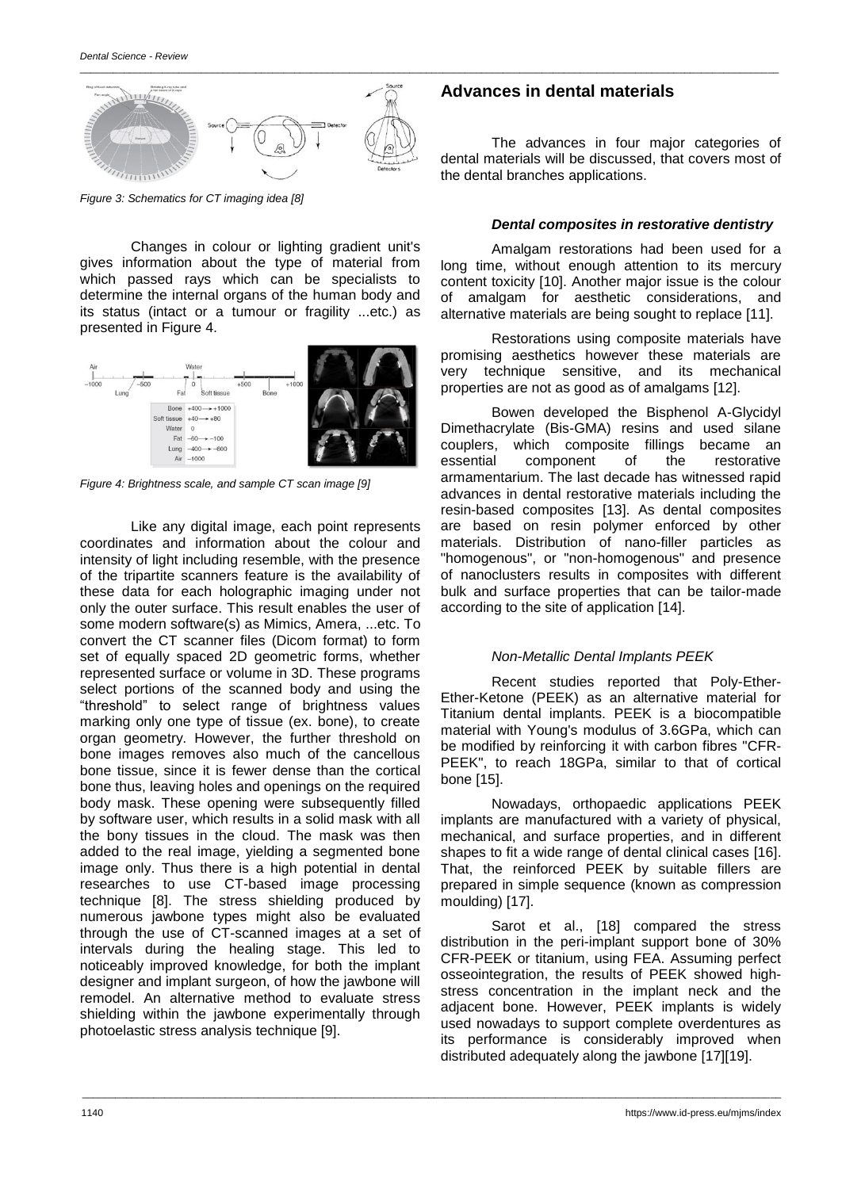

*Figure 3: Schematics for CT imaging idea [8]*

Changes in colour or lighting gradient unit's gives information about the type of material from which passed rays which can be specialists to determine the internal organs of the human body and its status (intact or a tumour or fragility ...etc.) as presented in Figure 4.



*Figure 4: Brightness scale, and sample CT scan image [9]*

Like any digital image, each point represents coordinates and information about the colour and intensity of light including resemble, with the presence of the tripartite scanners feature is the availability of these data for each holographic imaging under not only the outer surface. This result enables the user of some modern software(s) as Mimics, Amera, ...etc. To convert the CT scanner files (Dicom format) to form set of equally spaced 2D geometric forms, whether represented surface or volume in 3D. These programs select portions of the scanned body and using the "threshold" to select range of brightness values marking only one type of tissue (ex. bone), to create organ geometry. However, the further threshold on bone images removes also much of the cancellous bone tissue, since it is fewer dense than the cortical bone thus, leaving holes and openings on the required body mask. These opening were subsequently filled by software user, which results in a solid mask with all the bony tissues in the cloud. The mask was then added to the real image, yielding a segmented bone image only. Thus there is a high potential in dental researches to use CT-based image processing technique [8]. The stress shielding produced by numerous jawbone types might also be evaluated through the use of CT-scanned images at a set of intervals during the healing stage. This led to noticeably improved knowledge, for both the implant designer and implant surgeon, of how the jawbone will remodel. An alternative method to evaluate stress shielding within the jawbone experimentally through photoelastic stress analysis technique [9].

## **Advances in dental materials**

The advances in four major categories of dental materials will be discussed, that covers most of the dental branches applications.

#### *Dental composites in restorative dentistry*

Amalgam restorations had been used for a long time, without enough attention to its mercury content toxicity [10]. Another major issue is the colour of amalgam for aesthetic considerations, and alternative materials are being sought to replace [11].

Restorations using composite materials have promising aesthetics however these materials are very technique sensitive, and its mechanical properties are not as good as of amalgams [12].

Bowen developed the Bisphenol A-Glycidyl Dimethacrylate (Bis-GMA) resins and used silane couplers, which composite fillings became an essential component of the restorative armamentarium. The last decade has witnessed rapid advances in dental restorative materials including the resin-based composites [13]. As dental composites are based on resin polymer enforced by other materials. Distribution of nano-filler particles as "homogenous", or "non-homogenous" and presence of nanoclusters results in composites with different bulk and surface properties that can be tailor-made according to the site of application [14].

#### *Non-Metallic Dental Implants PEEK*

Recent studies reported that Poly-Ether-Ether-Ketone (PEEK) as an alternative material for Titanium dental implants. PEEK is a biocompatible material with Young's modulus of 3.6GPa, which can be modified by reinforcing it with carbon fibres "CFR-PEEK", to reach 18GPa, similar to that of cortical bone [15].

Nowadays, orthopaedic applications PEEK implants are manufactured with a variety of physical, mechanical, and surface properties, and in different shapes to fit a wide range of dental clinical cases [16]. That, the reinforced PEEK by suitable fillers are prepared in simple sequence (known as compression moulding) [17].

Sarot et al., [18] compared the stress distribution in the peri-implant support bone of 30% CFR-PEEK or titanium, using FEA. Assuming perfect osseointegration, the results of PEEK showed highstress concentration in the implant neck and the adjacent bone. However, PEEK implants is widely used nowadays to support complete overdentures as its performance is considerably improved when distributed adequately along the jawbone [17][19].

\_\_\_\_\_\_\_\_\_\_\_\_\_\_\_\_\_\_\_\_\_\_\_\_\_\_\_\_\_\_\_\_\_\_\_\_\_\_\_\_\_\_\_\_\_\_\_\_\_\_\_\_\_\_\_\_\_\_\_\_\_\_\_\_\_\_\_\_\_\_\_\_\_\_\_\_\_\_\_\_\_\_\_\_\_\_\_\_\_\_\_\_\_\_\_\_\_\_\_\_\_\_\_\_\_\_\_\_\_\_\_\_\_\_\_\_\_\_\_\_\_\_\_\_\_\_\_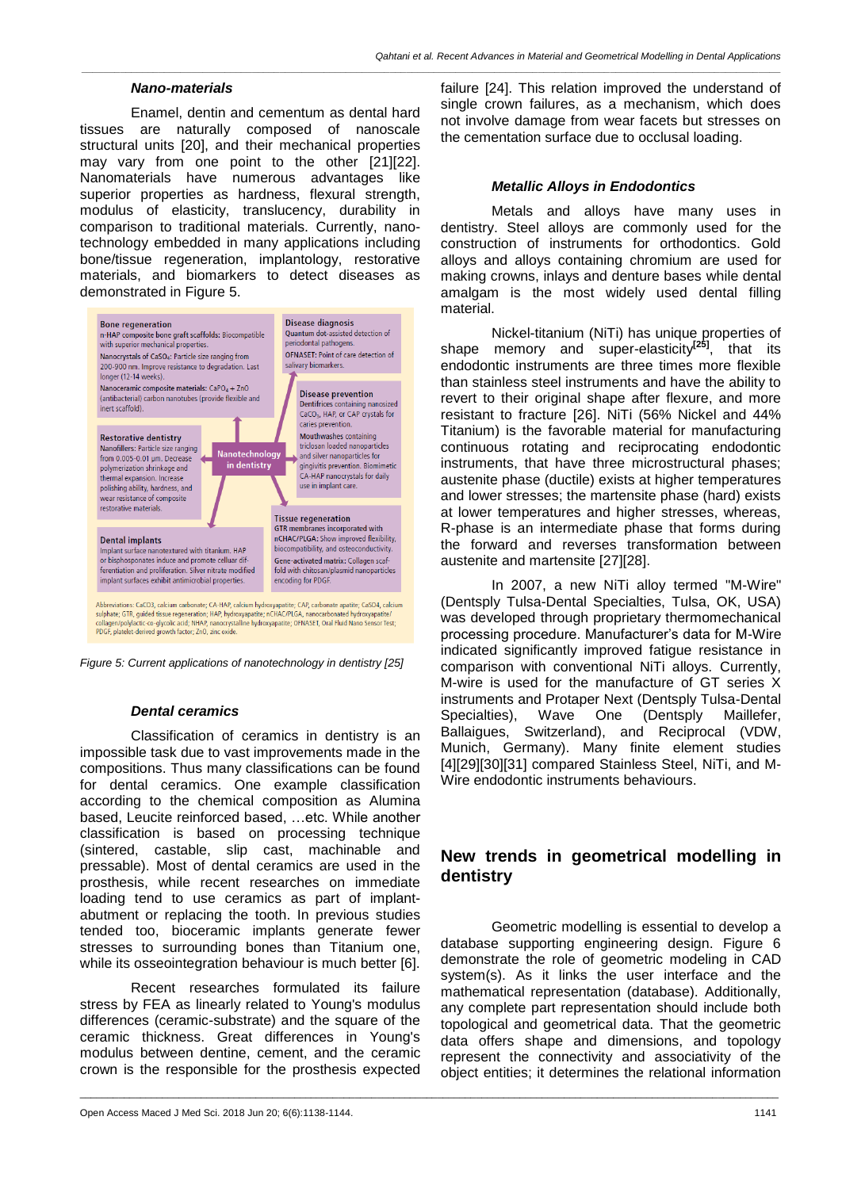*\_\_\_\_\_\_\_\_\_\_\_\_\_\_\_\_\_\_\_\_\_\_\_\_\_\_\_\_\_\_\_\_\_\_\_\_\_\_\_\_\_\_\_\_\_\_\_\_\_\_\_\_\_\_\_\_\_\_\_\_\_\_\_\_\_\_\_\_\_\_\_\_\_\_\_\_\_\_\_\_\_\_\_\_\_\_\_\_\_\_\_\_\_\_\_\_\_\_\_\_\_\_\_\_\_\_\_\_\_\_\_\_\_\_\_\_\_\_\_\_\_\_\_\_\_\_\_*

#### *Nano-materials*

Enamel, dentin and cementum as dental hard tissues are naturally composed of nanoscale structural units [20], and their mechanical properties may vary from one point to the other [21][22]. Nanomaterials have numerous advantages like superior properties as hardness, flexural strength, modulus of elasticity, translucency, durability in comparison to traditional materials. Currently, nanotechnology embedded in many applications including bone/tissue regeneration, implantology, restorative materials, and biomarkers to detect diseases as demonstrated in Figure 5.





#### *Dental ceramics*

Classification of ceramics in dentistry is an impossible task due to vast improvements made in the compositions. Thus many classifications can be found for dental ceramics. One example classification according to the chemical composition as Alumina based, Leucite reinforced based, …etc. While another classification is based on processing technique (sintered, castable, slip cast, machinable and pressable). Most of dental ceramics are used in the prosthesis, while recent researches on immediate loading tend to use ceramics as part of implantabutment or replacing the tooth. In previous studies tended too, bioceramic implants generate fewer stresses to surrounding bones than Titanium one, while its osseointegration behaviour is much better [6].

Recent researches formulated its failure stress by FEA as linearly related to Young's modulus differences (ceramic-substrate) and the square of the ceramic thickness. Great differences in Young's modulus between dentine, cement, and the ceramic crown is the responsible for the prosthesis expected

\_\_\_\_\_\_\_\_\_\_\_\_\_\_\_\_\_\_\_\_\_\_\_\_\_\_\_\_\_\_\_\_\_\_\_\_\_\_\_\_\_\_\_\_\_\_\_\_\_\_\_\_\_\_\_\_\_\_\_\_\_\_\_\_\_\_\_\_\_\_\_\_\_\_\_\_\_\_\_\_\_\_\_\_\_\_\_\_\_\_\_\_\_\_\_\_\_\_\_\_\_\_\_\_\_\_\_\_\_\_\_\_\_\_\_\_\_\_\_\_\_\_\_\_\_\_\_

failure [24]. This relation improved the understand of single crown failures, as a mechanism, which does not involve damage from wear facets but stresses on the cementation surface due to occlusal loading.

#### *Metallic Alloys in Endodontics*

Metals and alloys have many uses in dentistry. Steel alloys are commonly used for the construction of instruments for orthodontics. Gold alloys and alloys containing chromium are used for making crowns, inlays and denture bases while dental amalgam is the most widely used dental filling material.

Nickel-titanium (NiTi) has unique properties of shape memory and super-elasticity**[25]**, that its endodontic instruments are three times more flexible than stainless steel instruments and have the ability to revert to their original shape after flexure, and more resistant to fracture [26]. NiTi (56% Nickel and 44% Titanium) is the favorable material for manufacturing continuous rotating and reciprocating endodontic instruments, that have three microstructural phases; austenite phase (ductile) exists at higher temperatures and lower stresses; the martensite phase (hard) exists at lower temperatures and higher stresses, whereas, R-phase is an intermediate phase that forms during the forward and reverses transformation between austenite and martensite [27][28].

In 2007, a new NiTi alloy termed "M-Wire" (Dentsply Tulsa-Dental Specialties, Tulsa, OK, USA) was developed through proprietary thermomechanical processing procedure. Manufacturer's data for M-Wire indicated significantly improved fatigue resistance in comparison with conventional NiTi alloys. Currently, M-wire is used for the manufacture of GT series X instruments and Protaper Next (Dentsply Tulsa-Dental Specialties), Wave One (Dentsply Maillefer, Ballaigues, Switzerland), and Reciprocal (VDW, Munich, Germany). Many finite element studies [4][29][30][31] compared Stainless Steel, NiTi, and M-Wire endodontic instruments behaviours.

# **New trends in geometrical modelling in dentistry**

Geometric modelling is essential to develop a database supporting engineering design. Figure 6 demonstrate the role of geometric modeling in CAD system(s). As it links the user interface and the mathematical representation (database). Additionally, any complete part representation should include both topological and geometrical data. That the geometric data offers shape and dimensions, and topology represent the connectivity and associativity of the object entities; it determines the relational information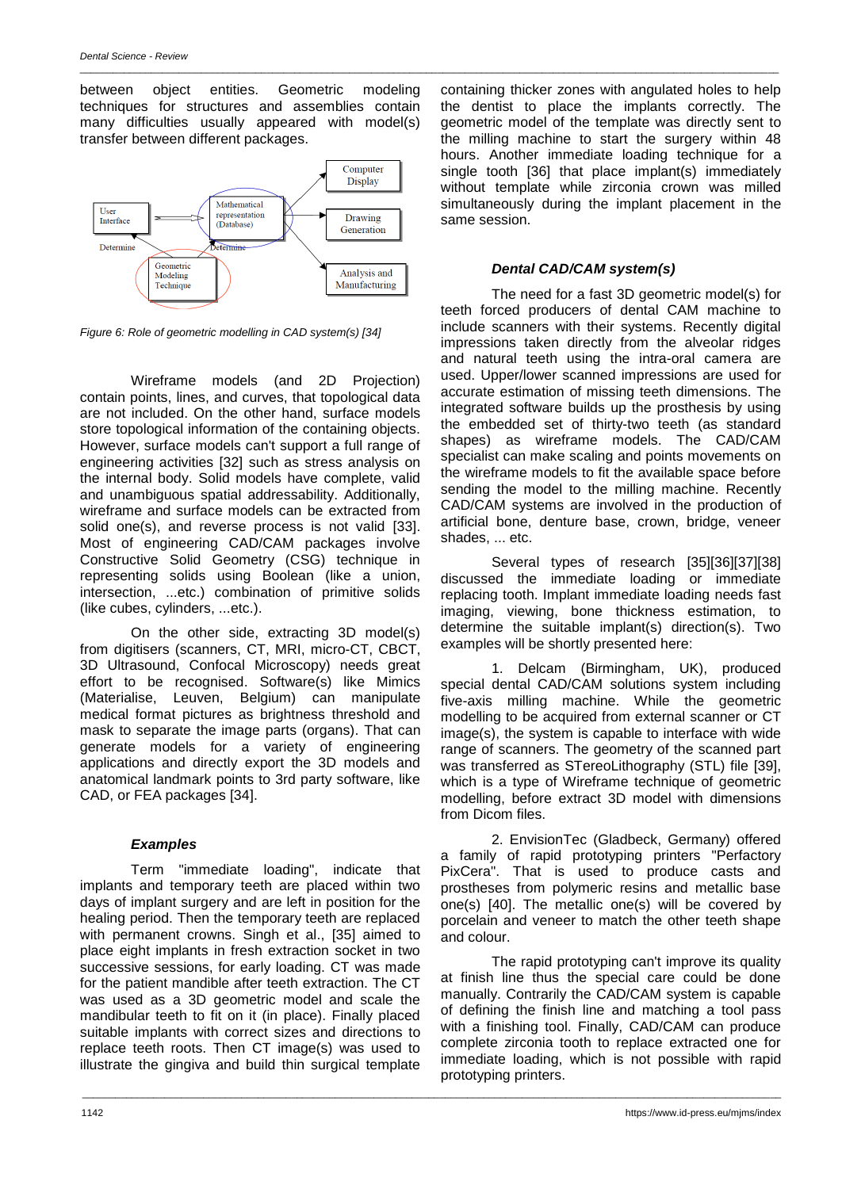between object entities. Geometric modeling techniques for structures and assemblies contain many difficulties usually appeared with model(s) transfer between different packages.

\_\_\_\_\_\_\_\_\_\_\_\_\_\_\_\_\_\_\_\_\_\_\_\_\_\_\_\_\_\_\_\_\_\_\_\_\_\_\_\_\_\_\_\_\_\_\_\_\_\_\_\_\_\_\_\_\_\_\_\_\_\_\_\_\_\_\_\_\_\_\_\_\_\_\_\_\_\_\_\_\_\_\_\_\_\_\_\_\_\_\_\_\_\_\_\_\_\_\_\_\_\_\_\_\_\_\_\_\_\_\_\_\_\_\_\_\_\_\_\_\_\_\_\_\_\_\_



*Figure 6: Role of geometric modelling in CAD system(s) [34]*

Wireframe models (and 2D Projection) contain points, lines, and curves, that topological data are not included. On the other hand, surface models store topological information of the containing objects. However, surface models can't support a full range of engineering activities [32] such as stress analysis on the internal body. Solid models have complete, valid and unambiguous spatial addressability. Additionally, wireframe and surface models can be extracted from solid one(s), and reverse process is not valid [33]. Most of engineering CAD/CAM packages involve Constructive Solid Geometry (CSG) technique in representing solids using Boolean (like a union, intersection, ...etc.) combination of primitive solids (like cubes, cylinders, ...etc.).

On the other side, extracting 3D model(s) from digitisers (scanners, CT, MRI, micro-CT, CBCT, 3D Ultrasound, Confocal Microscopy) needs great effort to be recognised. Software(s) like Mimics (Materialise, Leuven, Belgium) can manipulate medical format pictures as brightness threshold and mask to separate the image parts (organs). That can generate models for a variety of engineering applications and directly export the 3D models and anatomical landmark points to 3rd party software, like CAD, or FEA packages [34].

#### *Examples*

Term "immediate loading", indicate that implants and temporary teeth are placed within two days of implant surgery and are left in position for the healing period. Then the temporary teeth are replaced with permanent crowns. Singh et al., [35] aimed to place eight implants in fresh extraction socket in two successive sessions, for early loading. CT was made for the patient mandible after teeth extraction. The CT was used as a 3D geometric model and scale the mandibular teeth to fit on it (in place). Finally placed suitable implants with correct sizes and directions to replace teeth roots. Then CT image(s) was used to illustrate the gingiva and build thin surgical template

containing thicker zones with angulated holes to help the dentist to place the implants correctly. The geometric model of the template was directly sent to the milling machine to start the surgery within 48 hours. Another immediate loading technique for a single tooth [36] that place implant(s) immediately without template while zirconia crown was milled simultaneously during the implant placement in the same session.

### *Dental CAD/CAM system(s)*

The need for a fast 3D geometric model(s) for teeth forced producers of dental CAM machine to include scanners with their systems. Recently digital impressions taken directly from the alveolar ridges and natural teeth using the intra-oral camera are used. Upper/lower scanned impressions are used for accurate estimation of missing teeth dimensions. The integrated software builds up the prosthesis by using the embedded set of thirty-two teeth (as standard shapes) as wireframe models. The CAD/CAM specialist can make scaling and points movements on the wireframe models to fit the available space before sending the model to the milling machine. Recently CAD/CAM systems are involved in the production of artificial bone, denture base, crown, bridge, veneer shades, ... etc.

Several types of research [35][36][37][38] discussed the immediate loading or immediate replacing tooth. Implant immediate loading needs fast imaging, viewing, bone thickness estimation, to determine the suitable implant(s) direction(s). Two examples will be shortly presented here:

1. Delcam (Birmingham, UK), produced special dental CAD/CAM solutions system including five-axis milling machine. While the geometric modelling to be acquired from external scanner or CT image(s), the system is capable to interface with wide range of scanners. The geometry of the scanned part was transferred as STereoLithography (STL) file [39], which is a type of Wireframe technique of geometric modelling, before extract 3D model with dimensions from Dicom files.

2. EnvisionTec (Gladbeck, Germany) offered a family of rapid prototyping printers "Perfactory PixCera". That is used to produce casts and prostheses from polymeric resins and metallic base one(s) [40]. The metallic one(s) will be covered by porcelain and veneer to match the other teeth shape and colour.

The rapid prototyping can't improve its quality at finish line thus the special care could be done manually. Contrarily the CAD/CAM system is capable of defining the finish line and matching a tool pass with a finishing tool. Finally, CAD/CAM can produce complete zirconia tooth to replace extracted one for immediate loading, which is not possible with rapid prototyping printers.

\_\_\_\_\_\_\_\_\_\_\_\_\_\_\_\_\_\_\_\_\_\_\_\_\_\_\_\_\_\_\_\_\_\_\_\_\_\_\_\_\_\_\_\_\_\_\_\_\_\_\_\_\_\_\_\_\_\_\_\_\_\_\_\_\_\_\_\_\_\_\_\_\_\_\_\_\_\_\_\_\_\_\_\_\_\_\_\_\_\_\_\_\_\_\_\_\_\_\_\_\_\_\_\_\_\_\_\_\_\_\_\_\_\_\_\_\_\_\_\_\_\_\_\_\_\_\_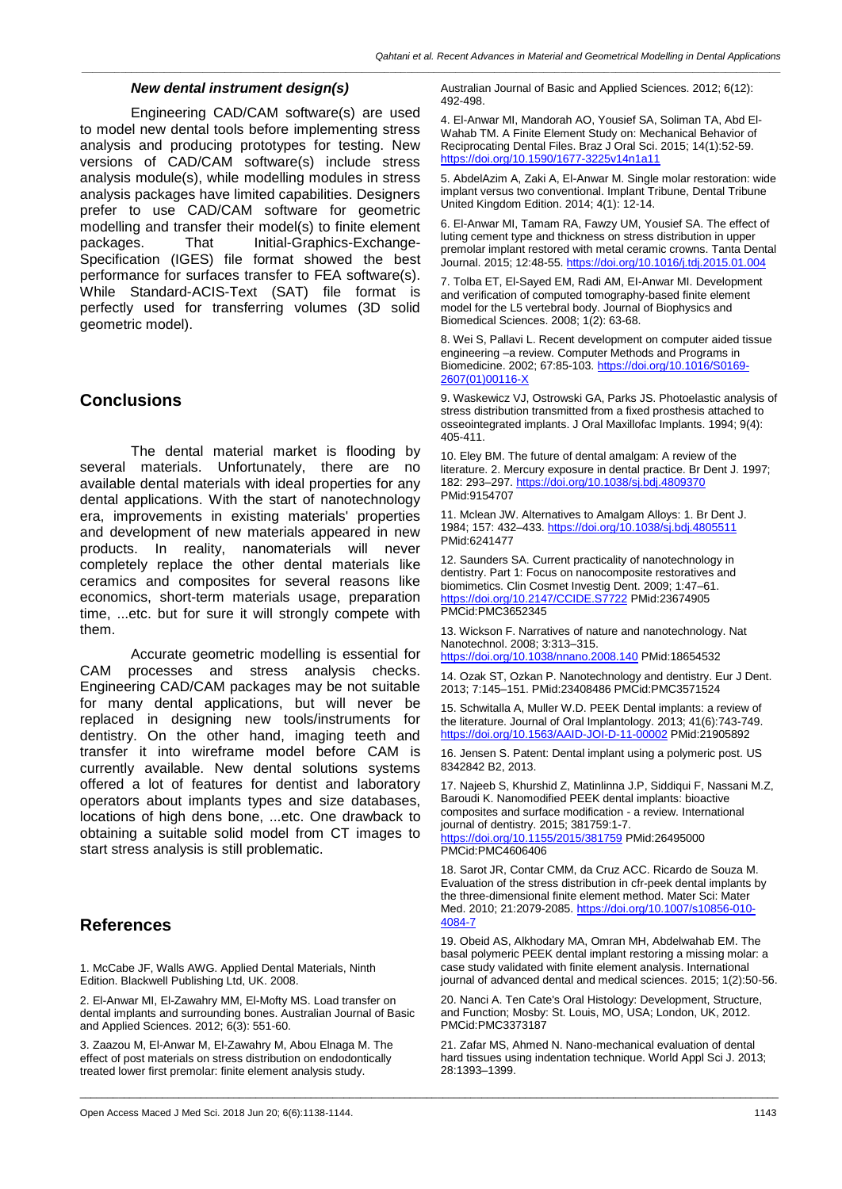*\_\_\_\_\_\_\_\_\_\_\_\_\_\_\_\_\_\_\_\_\_\_\_\_\_\_\_\_\_\_\_\_\_\_\_\_\_\_\_\_\_\_\_\_\_\_\_\_\_\_\_\_\_\_\_\_\_\_\_\_\_\_\_\_\_\_\_\_\_\_\_\_\_\_\_\_\_\_\_\_\_\_\_\_\_\_\_\_\_\_\_\_\_\_\_\_\_\_\_\_\_\_\_\_\_\_\_\_\_\_\_\_\_\_\_\_\_\_\_\_\_\_\_\_\_\_\_*

#### *New dental instrument design(s)*

Engineering CAD/CAM software(s) are used to model new dental tools before implementing stress analysis and producing prototypes for testing. New versions of CAD/CAM software(s) include stress analysis module(s), while modelling modules in stress analysis packages have limited capabilities. Designers prefer to use CAD/CAM software for geometric modelling and transfer their model(s) to finite element<br>packages. That lnitial-Graphics-Exchange-That Initial-Graphics-Exchange-Specification (IGES) file format showed the best performance for surfaces transfer to FEA software(s). While Standard-ACIS-Text (SAT) file format is perfectly used for transferring volumes (3D solid geometric model).

# **Conclusions**

The dental material market is flooding by several materials. Unfortunately, there are no available dental materials with ideal properties for any dental applications. With the start of nanotechnology era, improvements in existing materials' properties and development of new materials appeared in new products. In reality, nanomaterials will never completely replace the other dental materials like ceramics and composites for several reasons like economics, short-term materials usage, preparation time, ...etc. but for sure it will strongly compete with them.

Accurate geometric modelling is essential for CAM processes and stress analysis checks. Engineering CAD/CAM packages may be not suitable for many dental applications, but will never be replaced in designing new tools/instruments for dentistry. On the other hand, imaging teeth and transfer it into wireframe model before CAM is currently available. New dental solutions systems offered a lot of features for dentist and laboratory operators about implants types and size databases, locations of high dens bone, ...etc. One drawback to obtaining a suitable solid model from CT images to start stress analysis is still problematic.

# **References**

1. McCabe JF, Walls AWG. Applied Dental Materials, Ninth Edition. Blackwell Publishing Ltd, UK. 2008.

2. El-Anwar MI, El-Zawahry MM, El-Mofty MS. Load transfer on dental implants and surrounding bones. Australian Journal of Basic and Applied Sciences. 2012; 6(3): 551-60.

3. Zaazou M, El-Anwar M, El-Zawahry M, Abou Elnaga M. The effect of post materials on stress distribution on endodontically treated lower first premolar: finite element analysis study.

Australian Journal of Basic and Applied Sciences. 2012; 6(12): 492-498.

4. El-Anwar MI, Mandorah AO, Yousief SA, Soliman TA, Abd El-Wahab TM. A Finite Element Study on: Mechanical Behavior of Reciprocating Dental Files. Braz J Oral Sci. 2015; 14(1):52-59. <https://doi.org/10.1590/1677-3225v14n1a11>

5. AbdelAzim A, Zaki A, El-Anwar M. Single molar restoration: wide implant versus two conventional. Implant Tribune, Dental Tribune United Kingdom Edition. 2014; 4(1): 12-14.

6. El-Anwar MI, Tamam RA, Fawzy UM, Yousief SA. The effect of luting cement type and thickness on stress distribution in upper premolar implant restored with metal ceramic crowns. Tanta Dental Journal. 2015; 12:48-55. <https://doi.org/10.1016/j.tdj.2015.01.004>

7. Tolba ET, El-Sayed EM, Radi AM, EI-Anwar MI. Development and verification of computed tomography-based finite element model for the L5 vertebral body. Journal of Biophysics and Biomedical Sciences. 2008; 1(2): 63-68.

8. Wei S, Pallavi L. Recent development on computer aided tissue engineering –a review. Computer Methods and Programs in Biomedicine. 2002; 67:85-103. [https://doi.org/10.1016/S0169-](https://doi.org/10.1016/S0169-2607(01)00116-X) [2607\(01\)00116-X](https://doi.org/10.1016/S0169-2607(01)00116-X)

9. Waskewicz VJ, Ostrowski GA, Parks JS. Photoelastic analysis of stress distribution transmitted from a fixed prosthesis attached to osseointegrated implants. J Oral Maxillofac Implants. 1994; 9(4): 405-411.

10. Eley BM. The future of dental amalgam: A review of the literature. 2. Mercury exposure in dental practice. Br Dent J. 1997; 182: 293–297. <https://doi.org/10.1038/sj.bdj.4809370> PMid:9154707

11. Mclean JW. Alternatives to Amalgam Alloys: 1. Br Dent J. 1984; 157: 432–433. <https://doi.org/10.1038/sj.bdj.4805511> PMid:6241477

12. Saunders SA. Current practicality of nanotechnology in dentistry. Part 1: Focus on nanocomposite restoratives and biomimetics. Clin Cosmet Investig Dent. 2009; 1:47–61. <https://doi.org/10.2147/CCIDE.S7722> PMid:23674905 PMCid:PMC3652345

13. Wickson F. Narratives of nature and nanotechnology. Nat Nanotechnol. 2008; 3:313–315.

<https://doi.org/10.1038/nnano.2008.140> PMid:18654532

14. Ozak ST, Ozkan P. Nanotechnology and dentistry. Eur J Dent. 2013; 7:145–151. PMid:23408486 PMCid:PMC3571524

15. Schwitalla A, Muller W.D. PEEK Dental implants: a review of the literature. Journal of Oral Implantology. 2013; 41(6):743-749. <https://doi.org/10.1563/AAID-JOI-D-11-00002> PMid:21905892

16. Jensen S. Patent: Dental implant using a polymeric post. US 8342842 B2, 2013.

17. Najeeb S, Khurshid Z, Matinlinna J.P, Siddiqui F, Nassani M.Z, Baroudi K. Nanomodified PEEK dental implants: bioactive composites and surface modification - a review. International journal of dentistry. 2015; 381759:1-7. <https://doi.org/10.1155/2015/381759> PMid:26495000 PMCid:PMC4606406

18. Sarot JR, Contar CMM, da Cruz ACC. Ricardo de Souza M. Evaluation of the stress distribution in cfr-peek dental implants by the three-dimensional finite element method. Mater Sci: Mater Med. 2010; 21:2079-2085. [https://doi.org/10.1007/s10856-010-](https://doi.org/10.1007/s10856-010-4084-7) [4084-7](https://doi.org/10.1007/s10856-010-4084-7)

19. Obeid AS, Alkhodary MA, Omran MH, Abdelwahab EM. The basal polymeric PEEK dental implant restoring a missing molar: a case study validated with finite element analysis. International journal of advanced dental and medical sciences. 2015; 1(2):50-56.

20. Nanci A. Ten Cate's Oral Histology: Development, Structure, and Function; Mosby: St. Louis, MO, USA; London, UK, 2012. PMCid:PMC3373187

21. Zafar MS, Ahmed N. Nano-mechanical evaluation of dental hard tissues using indentation technique. World Appl Sci J. 2013; 28:1393–1399.

\_\_\_\_\_\_\_\_\_\_\_\_\_\_\_\_\_\_\_\_\_\_\_\_\_\_\_\_\_\_\_\_\_\_\_\_\_\_\_\_\_\_\_\_\_\_\_\_\_\_\_\_\_\_\_\_\_\_\_\_\_\_\_\_\_\_\_\_\_\_\_\_\_\_\_\_\_\_\_\_\_\_\_\_\_\_\_\_\_\_\_\_\_\_\_\_\_\_\_\_\_\_\_\_\_\_\_\_\_\_\_\_\_\_\_\_\_\_\_\_\_\_\_\_\_\_\_